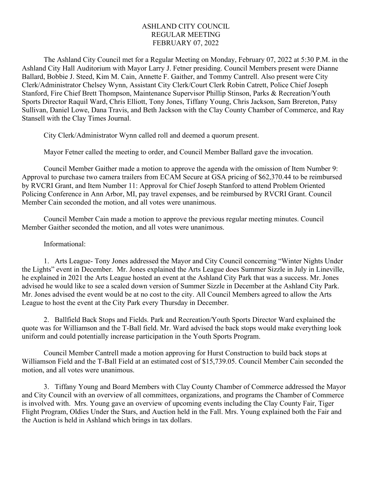### ASHLAND CITY COUNCIL REGULAR MEETING FEBRUARY 07, 2022

The Ashland City Council met for a Regular Meeting on Monday, February 07, 2022 at 5:30 P.M. in the Ashland City Hall Auditorium with Mayor Larry J. Fetner presiding. Council Members present were Dianne Ballard, Bobbie J. Steed, Kim M. Cain, Annette F. Gaither, and Tommy Cantrell. Also present were City Clerk/Administrator Chelsey Wynn, Assistant City Clerk/Court Clerk Robin Catrett, Police Chief Joseph Stanford, Fire Chief Brett Thompson, Maintenance Supervisor Phillip Stinson, Parks & Recreation/Youth Sports Director Raquil Ward, Chris Elliott, Tony Jones, Tiffany Young, Chris Jackson, Sam Brereton, Patsy Sullivan, Daniel Lowe, Dana Travis, and Beth Jackson with the Clay County Chamber of Commerce, and Ray Stansell with the Clay Times Journal.

City Clerk/Administrator Wynn called roll and deemed a quorum present.

Mayor Fetner called the meeting to order, and Council Member Ballard gave the invocation.

Council Member Gaither made a motion to approve the agenda with the omission of Item Number 9: Approval to purchase two camera trailers from ECAM Secure at GSA pricing of \$62,370.44 to be reimbursed by RVCRI Grant, and Item Number 11: Approval for Chief Joseph Stanford to attend Problem Oriented Policing Conference in Ann Arbor, MI, pay travel expenses, and be reimbursed by RVCRI Grant. Council Member Cain seconded the motion, and all votes were unanimous.

Council Member Cain made a motion to approve the previous regular meeting minutes. Council Member Gaither seconded the motion, and all votes were unanimous.

### Informational:

1. Arts League- Tony Jones addressed the Mayor and City Council concerning "Winter Nights Under the Lights" event in December. Mr. Jones explained the Arts League does Summer Sizzle in July in Lineville, he explained in 2021 the Arts League hosted an event at the Ashland City Park that was a success. Mr. Jones advised he would like to see a scaled down version of Summer Sizzle in December at the Ashland City Park. Mr. Jones advised the event would be at no cost to the city. All Council Members agreed to allow the Arts League to host the event at the City Park every Thursday in December.

2. Ballfield Back Stops and Fields. Park and Recreation/Youth Sports Director Ward explained the quote was for Williamson and the T-Ball field. Mr. Ward advised the back stops would make everything look uniform and could potentially increase participation in the Youth Sports Program.

Council Member Cantrell made a motion approving for Hurst Construction to build back stops at Williamson Field and the T-Ball Field at an estimated cost of \$15,739.05. Council Member Cain seconded the motion, and all votes were unanimous.

3. Tiffany Young and Board Members with Clay County Chamber of Commerce addressed the Mayor and City Council with an overview of all committees, organizations, and programs the Chamber of Commerce is involved with. Mrs. Young gave an overview of upcoming events including the Clay County Fair, Tiger Flight Program, Oldies Under the Stars, and Auction held in the Fall. Mrs. Young explained both the Fair and the Auction is held in Ashland which brings in tax dollars.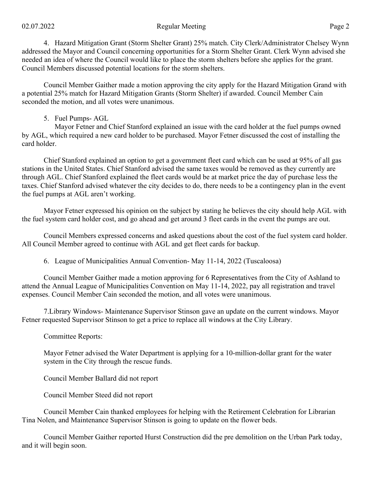### 02.07.2022 Page 2

4. Hazard Mitigation Grant (Storm Shelter Grant) 25% match. City Clerk/Administrator Chelsey Wynn addressed the Mayor and Council concerning opportunities for a Storm Shelter Grant. Clerk Wynn advised she needed an idea of where the Council would like to place the storm shelters before she applies for the grant. Council Members discussed potential locations for the storm shelters.

Council Member Gaither made a motion approving the city apply for the Hazard Mitigation Grand with a potential 25% match for Hazard Mitigation Grants (Storm Shelter) if awarded. Council Member Cain seconded the motion, and all votes were unanimous.

## 5. Fuel Pumps- AGL

Mayor Fetner and Chief Stanford explained an issue with the card holder at the fuel pumps owned by AGL, which required a new card holder to be purchased. Mayor Fetner discussed the cost of installing the card holder.

Chief Stanford explained an option to get a government fleet card which can be used at 95% of all gas stations in the United States. Chief Stanford advised the same taxes would be removed as they currently are through AGL. Chief Stanford explained the fleet cards would be at market price the day of purchase less the taxes. Chief Stanford advised whatever the city decides to do, there needs to be a contingency plan in the event the fuel pumps at AGL aren't working.

Mayor Fetner expressed his opinion on the subject by stating he believes the city should help AGL with the fuel system card holder cost, and go ahead and get around 3 fleet cards in the event the pumps are out.

Council Members expressed concerns and asked questions about the cost of the fuel system card holder. All Council Member agreed to continue with AGL and get fleet cards for backup.

6. League of Municipalities Annual Convention- May 11-14, 2022 (Tuscaloosa)

Council Member Gaither made a motion approving for 6 Representatives from the City of Ashland to attend the Annual League of Municipalities Convention on May 11-14, 2022, pay all registration and travel expenses. Council Member Cain seconded the motion, and all votes were unanimous.

7.Library Windows- Maintenance Supervisor Stinson gave an update on the current windows. Mayor Fetner requested Supervisor Stinson to get a price to replace all windows at the City Library.

# Committee Reports:

Mayor Fetner advised the Water Department is applying for a 10-million-dollar grant for the water system in the City through the rescue funds.

Council Member Ballard did not report

Council Member Steed did not report

Council Member Cain thanked employees for helping with the Retirement Celebration for Librarian Tina Nolen, and Maintenance Supervisor Stinson is going to update on the flower beds.

Council Member Gaither reported Hurst Construction did the pre demolition on the Urban Park today, and it will begin soon.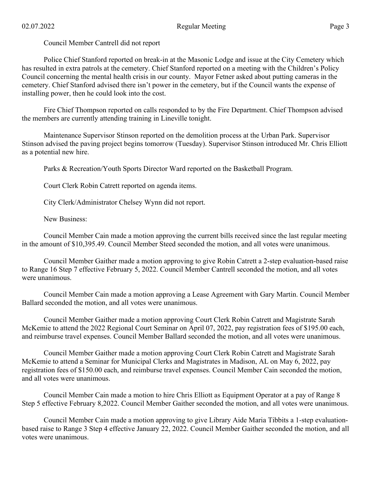Council Member Cantrell did not report

Police Chief Stanford reported on break-in at the Masonic Lodge and issue at the City Cemetery which has resulted in extra patrols at the cemetery. Chief Stanford reported on a meeting with the Children's Policy Council concerning the mental health crisis in our county. Mayor Fetner asked about putting cameras in the cemetery. Chief Stanford advised there isn't power in the cemetery, but if the Council wants the expense of installing power, then he could look into the cost.

Fire Chief Thompson reported on calls responded to by the Fire Department. Chief Thompson advised the members are currently attending training in Lineville tonight.

Maintenance Supervisor Stinson reported on the demolition process at the Urban Park. Supervisor Stinson advised the paving project begins tomorrow (Tuesday). Supervisor Stinson introduced Mr. Chris Elliott as a potential new hire.

Parks & Recreation/Youth Sports Director Ward reported on the Basketball Program.

Court Clerk Robin Catrett reported on agenda items.

City Clerk/Administrator Chelsey Wynn did not report.

New Business:

Council Member Cain made a motion approving the current bills received since the last regular meeting in the amount of \$10,395.49. Council Member Steed seconded the motion, and all votes were unanimous.

Council Member Gaither made a motion approving to give Robin Catrett a 2-step evaluation-based raise to Range 16 Step 7 effective February 5, 2022. Council Member Cantrell seconded the motion, and all votes were unanimous.

Council Member Cain made a motion approving a Lease Agreement with Gary Martin. Council Member Ballard seconded the motion, and all votes were unanimous.

Council Member Gaither made a motion approving Court Clerk Robin Catrett and Magistrate Sarah McKemie to attend the 2022 Regional Court Seminar on April 07, 2022, pay registration fees of \$195.00 each, and reimburse travel expenses. Council Member Ballard seconded the motion, and all votes were unanimous.

Council Member Gaither made a motion approving Court Clerk Robin Catrett and Magistrate Sarah McKemie to attend a Seminar for Municipal Clerks and Magistrates in Madison, AL on May 6, 2022, pay registration fees of \$150.00 each, and reimburse travel expenses. Council Member Cain seconded the motion, and all votes were unanimous.

Council Member Cain made a motion to hire Chris Elliott as Equipment Operator at a pay of Range 8 Step 5 effective February 8,2022. Council Member Gaither seconded the motion, and all votes were unanimous.

Council Member Cain made a motion approving to give Library Aide Maria Tibbits a 1-step evaluationbased raise to Range 3 Step 4 effective January 22, 2022. Council Member Gaither seconded the motion, and all votes were unanimous.